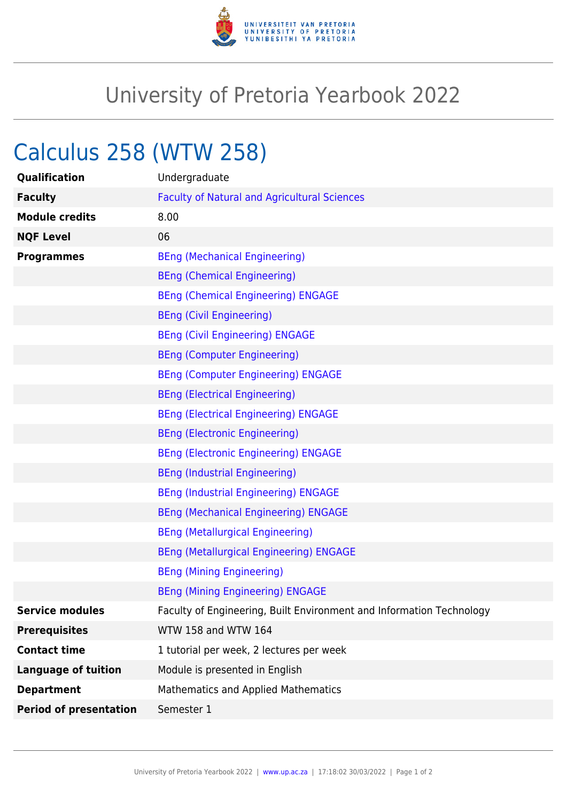

## University of Pretoria Yearbook 2022

## Calculus 258 (WTW 258)

| Qualification                 | Undergraduate                                                        |
|-------------------------------|----------------------------------------------------------------------|
| <b>Faculty</b>                | <b>Faculty of Natural and Agricultural Sciences</b>                  |
| <b>Module credits</b>         | 8.00                                                                 |
| <b>NQF Level</b>              | 06                                                                   |
| <b>Programmes</b>             | <b>BEng (Mechanical Engineering)</b>                                 |
|                               | <b>BEng (Chemical Engineering)</b>                                   |
|                               | <b>BEng (Chemical Engineering) ENGAGE</b>                            |
|                               | <b>BEng (Civil Engineering)</b>                                      |
|                               | <b>BEng (Civil Engineering) ENGAGE</b>                               |
|                               | <b>BEng (Computer Engineering)</b>                                   |
|                               | <b>BEng (Computer Engineering) ENGAGE</b>                            |
|                               | <b>BEng (Electrical Engineering)</b>                                 |
|                               | <b>BEng (Electrical Engineering) ENGAGE</b>                          |
|                               | <b>BEng (Electronic Engineering)</b>                                 |
|                               | <b>BEng (Electronic Engineering) ENGAGE</b>                          |
|                               | <b>BEng (Industrial Engineering)</b>                                 |
|                               | <b>BEng (Industrial Engineering) ENGAGE</b>                          |
|                               | <b>BEng (Mechanical Engineering) ENGAGE</b>                          |
|                               | <b>BEng (Metallurgical Engineering)</b>                              |
|                               | <b>BEng (Metallurgical Engineering) ENGAGE</b>                       |
|                               | <b>BEng (Mining Engineering)</b>                                     |
|                               | <b>BEng (Mining Engineering) ENGAGE</b>                              |
| <b>Service modules</b>        | Faculty of Engineering, Built Environment and Information Technology |
| <b>Prerequisites</b>          | WTW 158 and WTW 164                                                  |
| <b>Contact time</b>           | 1 tutorial per week, 2 lectures per week                             |
| <b>Language of tuition</b>    | Module is presented in English                                       |
| <b>Department</b>             | <b>Mathematics and Applied Mathematics</b>                           |
| <b>Period of presentation</b> | Semester 1                                                           |